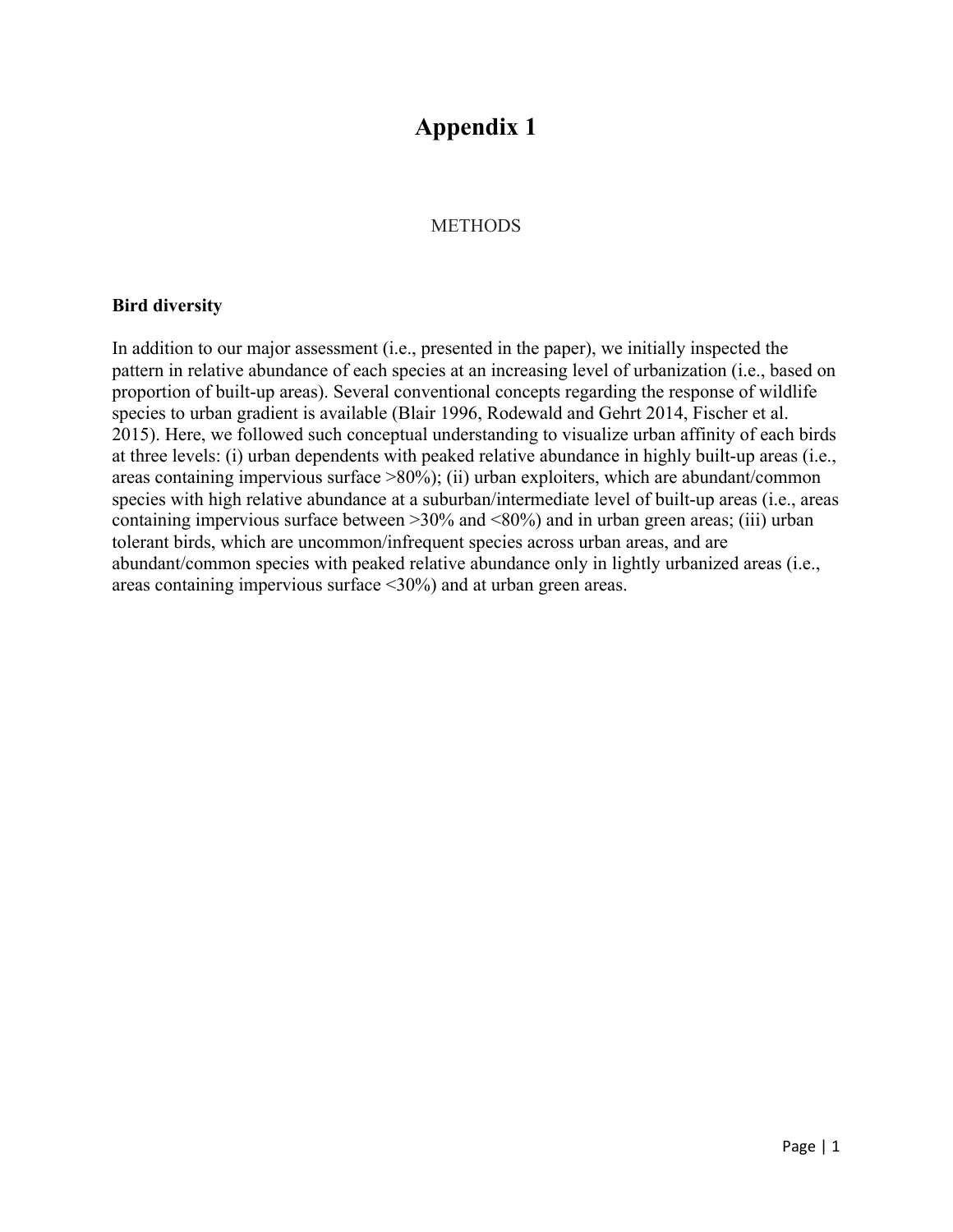# **Appendix 1**

### **METHODS**

#### **Bird diversity**

In addition to our major assessment (i.e., presented in the paper), we initially inspected the pattern in relative abundance of each species at an increasing level of urbanization (i.e., based on proportion of built-up areas). Several conventional concepts regarding the response of wildlife species to urban gradient is available (Blair 1996, Rodewald and Gehrt 2014, Fischer et al. 2015). Here, we followed such conceptual understanding to visualize urban affinity of each birds at three levels: (i) urban dependents with peaked relative abundance in highly built-up areas (i.e., areas containing impervious surface >80%); (ii) urban exploiters, which are abundant/common species with high relative abundance at a suburban/intermediate level of built-up areas (i.e., areas containing impervious surface between  $>30\%$  and  $<80\%$ ) and in urban green areas; (iii) urban tolerant birds, which are uncommon/infrequent species across urban areas, and are abundant/common species with peaked relative abundance only in lightly urbanized areas (i.e., areas containing impervious surface <30%) and at urban green areas.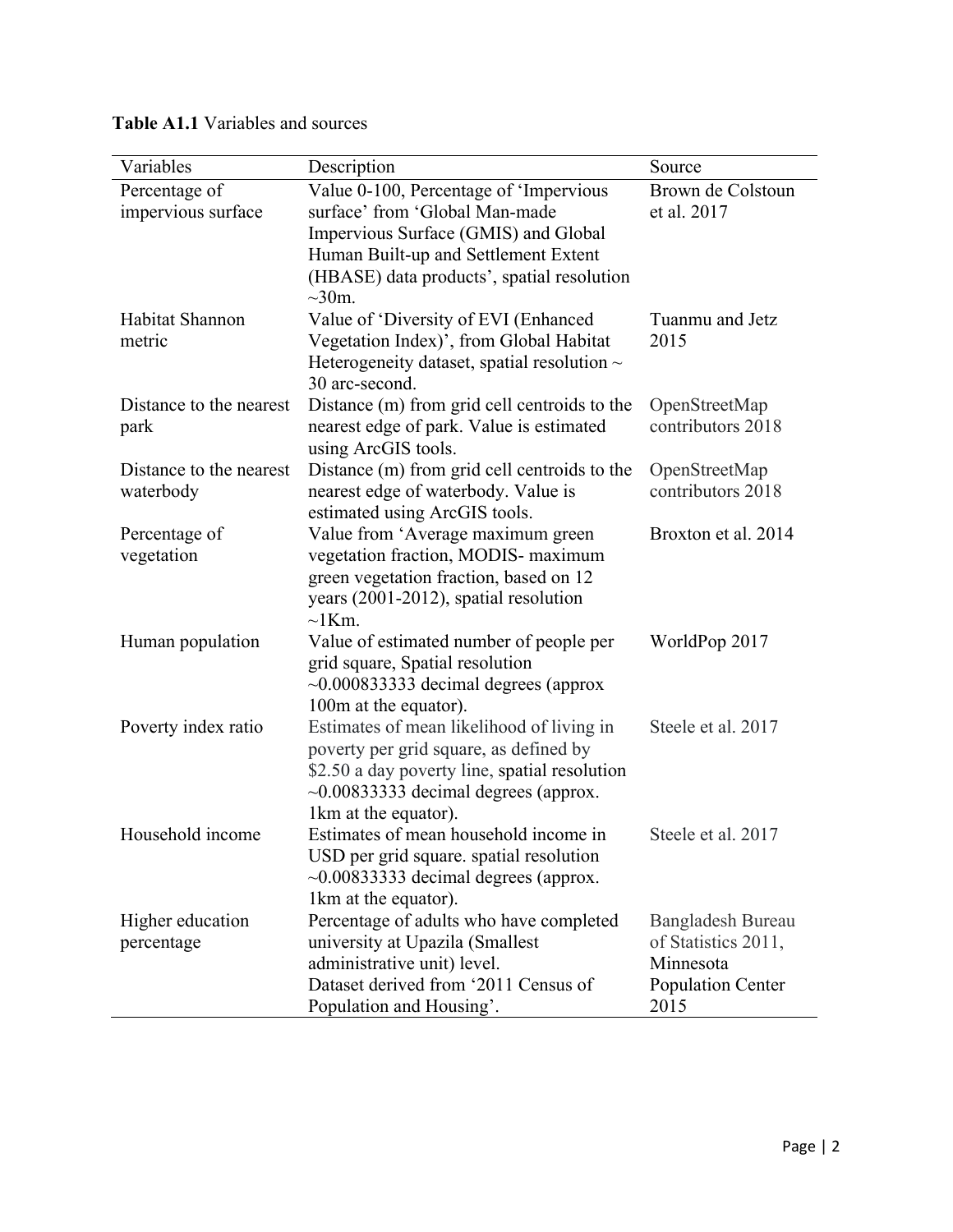| Variables                            | Description                                                                                                                                                                                                            | Source                                                                             |
|--------------------------------------|------------------------------------------------------------------------------------------------------------------------------------------------------------------------------------------------------------------------|------------------------------------------------------------------------------------|
| Percentage of<br>impervious surface  | Value 0-100, Percentage of 'Impervious<br>surface' from 'Global Man-made<br>Impervious Surface (GMIS) and Global<br>Human Built-up and Settlement Extent<br>(HBASE) data products', spatial resolution<br>$\sim 30$ m. | Brown de Colstoun<br>et al. 2017                                                   |
| Habitat Shannon<br>metric            | Value of 'Diversity of EVI (Enhanced<br>Vegetation Index)', from Global Habitat<br>Heterogeneity dataset, spatial resolution $\sim$<br>30 arc-second.                                                                  | Tuanmu and Jetz<br>2015                                                            |
| Distance to the nearest<br>park      | Distance (m) from grid cell centroids to the<br>nearest edge of park. Value is estimated<br>using ArcGIS tools.                                                                                                        | OpenStreetMap<br>contributors 2018                                                 |
| Distance to the nearest<br>waterbody | Distance (m) from grid cell centroids to the<br>nearest edge of waterbody. Value is<br>estimated using ArcGIS tools.                                                                                                   | OpenStreetMap<br>contributors 2018                                                 |
| Percentage of<br>vegetation          | Value from 'Average maximum green<br>vegetation fraction, MODIS- maximum<br>green vegetation fraction, based on 12<br>years (2001-2012), spatial resolution<br>$\sim$ 1Km.                                             | Broxton et al. 2014                                                                |
| Human population                     | Value of estimated number of people per<br>grid square, Spatial resolution<br>$\sim 0.000833333$ decimal degrees (approx<br>100m at the equator).                                                                      | WorldPop 2017                                                                      |
| Poverty index ratio                  | Estimates of mean likelihood of living in<br>poverty per grid square, as defined by<br>\$2.50 a day poverty line, spatial resolution<br>$\sim 0.00833333$ decimal degrees (approx.<br>1km at the equator).             | Steele et al. 2017                                                                 |
| Household income                     | Estimates of mean household income in<br>USD per grid square. spatial resolution<br>$\sim 0.00833333$ decimal degrees (approx.<br>1km at the equator).                                                                 | Steele et al. 2017                                                                 |
| Higher education<br>percentage       | Percentage of adults who have completed<br>university at Upazila (Smallest<br>administrative unit) level.<br>Dataset derived from '2011 Census of<br>Population and Housing'.                                          | Bangladesh Bureau<br>of Statistics 2011,<br>Minnesota<br>Population Center<br>2015 |

## **Table A1.1** Variables and sources